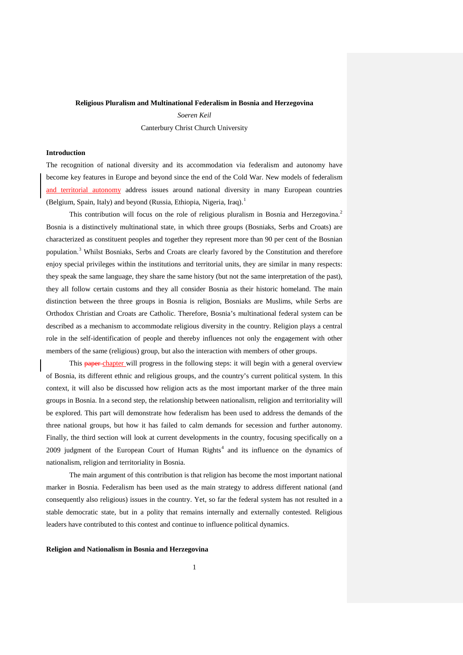### **Religious Pluralism and Multinational Federalism in Bosnia and Herzegovina**

*Soeren Keil*

Canterbury Christ Church University

### **Introduction**

The recognition of national diversity and its accommodation via federalism and autonomy have become key features in Europe and beyond since the end of the Cold War. New models of federalism and territorial autonomy address issues around national diversity in many European countries (Belgium, Spain, Italy) and beyond (Russia, Ethiopia, Nigeria, Iraq).<sup>[1](#page-13-0)</sup>

This contribution will focus on the role of religious pluralism in Bosnia and Herzegovina.[2](#page-13-1) Bosnia is a distinctively multinational state, in which three groups (Bosniaks, Serbs and Croats) are characterized as constituent peoples and together they represent more than 90 per cent of the Bosnian population.[3](#page-13-2) Whilst Bosniaks, Serbs and Croats are clearly favored by the Constitution and therefore enjoy special privileges within the institutions and territorial units, they are similar in many respects: they speak the same language, they share the same history (but not the same interpretation of the past), they all follow certain customs and they all consider Bosnia as their historic homeland. The main distinction between the three groups in Bosnia is religion, Bosniaks are Muslims, while Serbs are Orthodox Christian and Croats are Catholic. Therefore, Bosnia's multinational federal system can be described as a mechanism to accommodate religious diversity in the country. Religion plays a central role in the self-identification of people and thereby influences not only the engagement with other members of the same (religious) group, but also the interaction with members of other groups.

This **paper**-chapter will progress in the following steps: it will begin with a general overview of Bosnia, its different ethnic and religious groups, and the country's current political system. In this context, it will also be discussed how religion acts as the most important marker of the three main groups in Bosnia. In a second step, the relationship between nationalism, religion and territoriality will be explored. This part will demonstrate how federalism has been used to address the demands of the three national groups, but how it has failed to calm demands for secession and further autonomy. Finally, the third section will look at current developments in the country, focusing specifically on a  $2009$  judgment of the European Court of Human Rights<sup>[4](#page-13-3)</sup> and its influence on the dynamics of nationalism, religion and territoriality in Bosnia.

The main argument of this contribution is that religion has become the most important national marker in Bosnia. Federalism has been used as the main strategy to address different national (and consequently also religious) issues in the country. Yet, so far the federal system has not resulted in a stable democratic state, but in a polity that remains internally and externally contested. Religious leaders have contributed to this contest and continue to influence political dynamics.

#### **Religion and Nationalism in Bosnia and Herzegovina**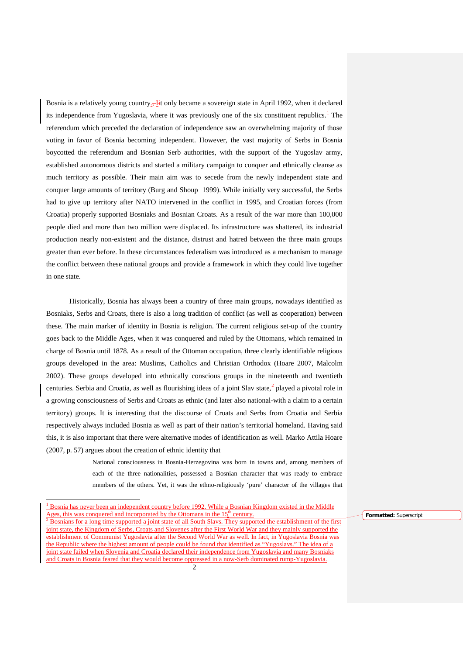Bosnia is a relatively young country<sub>in</sub>-L<sub>i</sub>t only became a sovereign state in April 1992, when it declared its independence from Yugoslavia, where it was previously one of the six constituent republics. $\frac{1}{1}$  $\frac{1}{1}$  $\frac{1}{1}$  The referendum which preceded the declaration of independence saw an overwhelming majority of those voting in favor of Bosnia becoming independent. However, the vast majority of Serbs in Bosnia boycotted the referendum and Bosnian Serb authorities, with the support of the Yugoslav army, established autonomous districts and started a military campaign to conquer and ethnically cleanse as much territory as possible. Their main aim was to secede from the newly independent state and conquer large amounts of territory (Burg and Shoup 1999). While initially very successful, the Serbs had to give up territory after NATO intervened in the conflict in 1995, and Croatian forces (from Croatia) properly supported Bosniaks and Bosnian Croats. As a result of the war more than 100,000 people died and more than two million were displaced. Its infrastructure was shattered, its industrial production nearly non-existent and the distance, distrust and hatred between the three main groups greater than ever before. In these circumstances federalism was introduced as a mechanism to manage the conflict between these national groups and provide a framework in which they could live together in one state.

Historically, Bosnia has always been a country of three main groups, nowadays identified as Bosniaks, Serbs and Croats, there is also a long tradition of conflict (as well as cooperation) between these. The main marker of identity in Bosnia is religion. The current religious set-up of the country goes back to the Middle Ages, when it was conquered and ruled by the Ottomans, which remained in charge of Bosnia until 1878. As a result of the Ottoman occupation, three clearly identifiable religious groups developed in the area: Muslims, Catholics and Christian Orthodox (Hoare 2007, Malcolm 2002). These groups developed into ethnically conscious groups in the nineteenth and twentieth centuries. Serbia and Croatia, as well as flourishing ideas of a joint Slav state,<sup>[2](#page-1-1)</sup> played a pivotal role in a growing consciousness of Serbs and Croats as ethnic (and later also national-with a claim to a certain territory) groups. It is interesting that the discourse of Croats and Serbs from Croatia and Serbia respectively always included Bosnia as well as part of their nation's territorial homeland. Having said this, it is also important that there were alternative modes of identification as well. Marko Attila Hoare (2007, p. 57) argues about the creation of ethnic identity that

> National consciousness in Bosnia-Herzegovina was born in towns and, among members of each of the three nationalities, possessed a Bosnian character that was ready to embrace members of the others. Yet, it was the ethno-religiously 'pure' character of the villages that

 $\overline{a}$ 

2

**Formatted:** Superscript

<span id="page-1-1"></span><span id="page-1-0"></span><sup>1</sup> Bosnia has never been an independent country before 1992. While a Bosnian Kingdom existed in the Middle Ages, this was conquered and incorporated by the Ottomans in the  $15<sup>th</sup>$  century.<br><sup>2</sup> Bosnians for a long time supported a joint state of all South Slavs. They supported the establishment of the first joint state, the Kingdom of Serbs, Croats and Slovenes after the First World War and they mainly supported the establishment of Communist Yugoslavia after the Second World War as well. In fact, in Yugoslavia Bosnia was the Republic where the highest amount of people could be found that identified as "Yugoslavs." The idea of a joint state failed when Slovenia and Croatia declared their independence from Yugoslavia and many Bosniaks and Croats in Bosnia feared that they would become oppressed in a now-Serb dominated rump-Yugoslavia.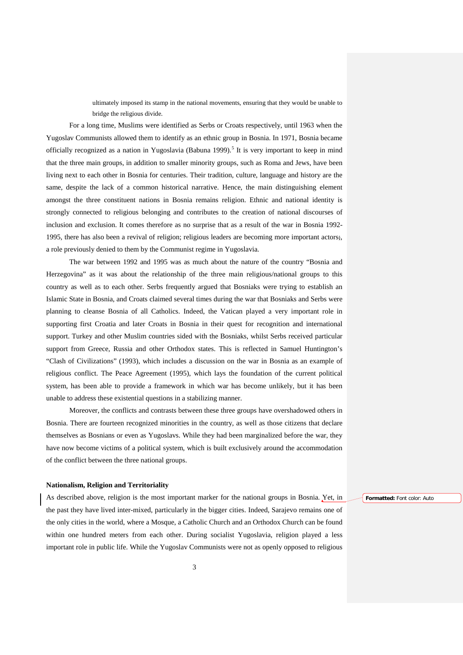ultimately imposed its stamp in the national movements, ensuring that they would be unable to bridge the religious divide.

For a long time, Muslims were identified as Serbs or Croats respectively, until 1963 when the Yugoslav Communists allowed them to identify as an ethnic group in Bosnia. In 1971, Bosnia became officially recognized as a nation in Yugoslavia (Babuna 1999).<sup>[5](#page-13-4)</sup> It is very important to keep in mind that the three main groups, in addition to smaller minority groups, such as Roma and Jews, have been living next to each other in Bosnia for centuries. Their tradition, culture, language and history are the same, despite the lack of a common historical narrative. Hence, the main distinguishing element amongst the three constituent nations in Bosnia remains religion. Ethnic and national identity is strongly connected to religious belonging and contributes to the creation of national discourses of inclusion and exclusion. It comes therefore as no surprise that as a result of the war in Bosnia 1992- 1995, there has also been a revival of religion; religious leaders are becoming more important actors;, a role previously denied to them by the Communist regime in Yugoslavia.

The war between 1992 and 1995 was as much about the nature of the country "Bosnia and Herzegovina" as it was about the relationship of the three main religious/national groups to this country as well as to each other. Serbs frequently argued that Bosniaks were trying to establish an Islamic State in Bosnia, and Croats claimed several times during the war that Bosniaks and Serbs were planning to cleanse Bosnia of all Catholics. Indeed, the Vatican played a very important role in supporting first Croatia and later Croats in Bosnia in their quest for recognition and international support. Turkey and other Muslim countries sided with the Bosniaks, whilst Serbs received particular support from Greece, Russia and other Orthodox states. This is reflected in Samuel Huntington's "Clash of Civilizations" (1993), which includes a discussion on the war in Bosnia as an example of religious conflict. The Peace Agreement (1995), which lays the foundation of the current political system, has been able to provide a framework in which war has become unlikely, but it has been unable to address these existential questions in a stabilizing manner.

Moreover, the conflicts and contrasts between these three groups have overshadowed others in Bosnia. There are fourteen recognized minorities in the country, as well as those citizens that declare themselves as Bosnians or even as Yugoslavs. While they had been marginalized before the war, they have now become victims of a political system, which is built exclusively around the accommodation of the conflict between the three national groups.

### **Nationalism, Religion and Territoriality**

As described above, religion is the most important marker for the national groups in Bosnia. Yet, in the past they have lived inter-mixed, particularly in the bigger cities. Indeed, Sarajevo remains one of the only cities in the world, where a Mosque, a Catholic Church and an Orthodox Church can be found within one hundred meters from each other. During socialist Yugoslavia, religion played a less important role in public life. While the Yugoslav Communists were not as openly opposed to religious **Formatted:** Font color: Auto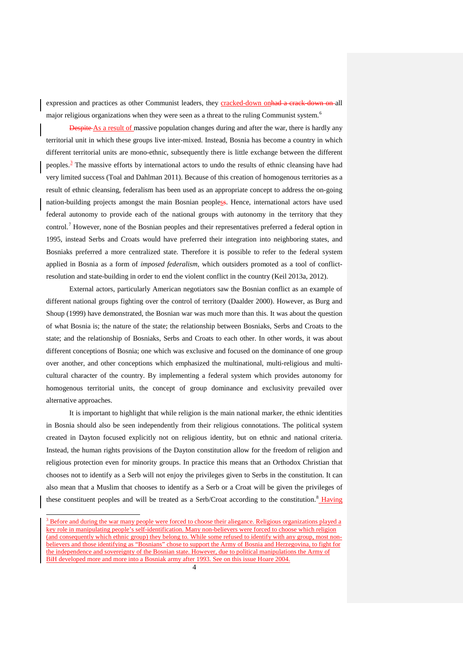expression and practices as other Communist leaders, they cracked-down onhad a crack-down on-all major religious organizations when they were seen as a threat to the ruling Communist system.<sup>[6](#page-13-5)</sup>

Despite As a result of massive population changes during and after the war, there is hardly any territorial unit in which these groups live inter-mixed. Instead, Bosnia has become a country in which different territorial units are mono-ethnic, subsequently there is little exchange between the different peoples.[3](#page-3-0) The massive efforts by international actors to undo the results of ethnic cleansing have had very limited success (Toal and Dahlman 2011). Because of this creation of homogenous territories as a result of ethnic cleansing, federalism has been used as an appropriate concept to address the on-going nation-building projects amongst the main Bosnian peopless. Hence, international actors have used federal autonomy to provide each of the national groups with autonomy in the territory that they control. [7](#page-13-6) However, none of the Bosnian peoples and their representatives preferred a federal option in 1995, instead Serbs and Croats would have preferred their integration into neighboring states, and Bosniaks preferred a more centralized state. Therefore it is possible to refer to the federal system applied in Bosnia as a form of *imposed federalism*, which outsiders promoted as a tool of conflictresolution and state-building in order to end the violent conflict in the country (Keil 2013a, 2012).

External actors, particularly American negotiators saw the Bosnian conflict as an example of different national groups fighting over the control of territory (Daalder 2000). However, as Burg and Shoup (1999) have demonstrated, the Bosnian war was much more than this. It was about the question of what Bosnia is; the nature of the state; the relationship between Bosniaks, Serbs and Croats to the state; and the relationship of Bosniaks, Serbs and Croats to each other. In other words, it was about different conceptions of Bosnia; one which was exclusive and focused on the dominance of one group over another, and other conceptions which emphasized the multinational, multi-religious and multicultural character of the country. By implementing a federal system which provides autonomy for homogenous territorial units, the concept of group dominance and exclusivity prevailed over alternative approaches.

It is important to highlight that while religion is the main national marker, the ethnic identities in Bosnia should also be seen independently from their religious connotations. The political system created in Dayton focused explicitly not on religious identity, but on ethnic and national criteria. Instead, the human rights provisions of the Dayton constitution allow for the freedom of religion and religious protection even for minority groups. In practice this means that an Orthodox Christian that chooses not to identify as a Serb will not enjoy the privileges given to Serbs in the constitution. It can also mean that a Muslim that chooses to identify as a Serb or a Croat will be given the privileges of these constituent peoples and will be treated as a Serb/Croat according to the constitution.<sup>[8](#page-13-7)</sup> Having

 $\overline{a}$ 

<span id="page-3-0"></span><sup>&</sup>lt;sup>3</sup> Before and during the war many people were forced to choose their aliegance. Religious organizations played a key role in manipulating people's self-identification. Many non-believers were forced to choose which religion (and consequently which ethnic group) they belong to. While some refused to identify with any group, most nonbelievers and those identifying as "Bosnians" chose to support the Army of Bosnia and Herzegovina, to fight for the independence and sovereignty of the Bosnian state. However, due to political manipulations the Army of BiH developed more and more into a Bosniak army after 1993. See on this issue Hoare 2004.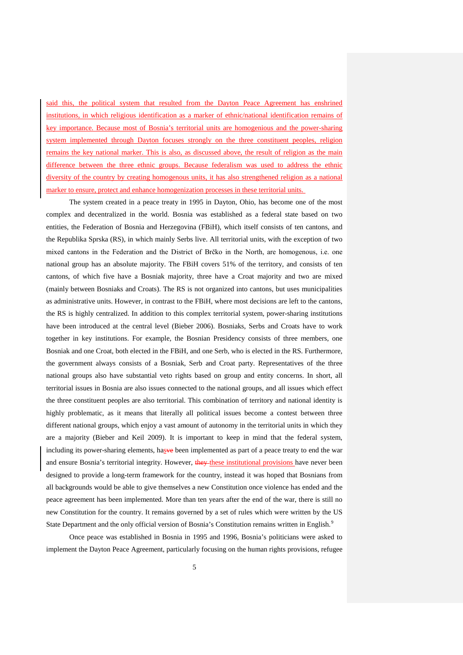said this, the political system that resulted from the Dayton Peace Agreement has enshrined institutions, in which religious identification as a marker of ethnic/national identification remains of key importance. Because most of Bosnia's territorial units are homogenious and the power-sharing system implemented through Dayton focuses strongly on the three constituent peoples, religion remains the key national marker. This is also, as discussed above, the result of religion as the main difference between the three ethnic groups. Because federalism was used to address the ethnic diversity of the country by creating homogenous units, it has also strengthened religion as a national marker to ensure, protect and enhance homogenization processes in these territorial units.

The system created in a peace treaty in 1995 in Dayton, Ohio, has become one of the most complex and decentralized in the world. Bosnia was established as a federal state based on two entities, the Federation of Bosnia and Herzegovina (FBiH), which itself consists of ten cantons, and the Republika Sprska (RS), in which mainly Serbs live. All territorial units, with the exception of two mixed cantons in the Federation and the District of Brčko in the North, are homogenous, i.e. one national group has an absolute majority. The FBiH covers 51% of the territory, and consists of ten cantons, of which five have a Bosniak majority, three have a Croat majority and two are mixed (mainly between Bosniaks and Croats). The RS is not organized into cantons, but uses municipalities as administrative units. However, in contrast to the FBiH, where most decisions are left to the cantons, the RS is highly centralized. In addition to this complex territorial system, power-sharing institutions have been introduced at the central level (Bieber 2006). Bosniaks, Serbs and Croats have to work together in key institutions. For example, the Bosnian Presidency consists of three members, one Bosniak and one Croat, both elected in the FBiH, and one Serb, who is elected in the RS. Furthermore, the government always consists of a Bosniak, Serb and Croat party. Representatives of the three national groups also have substantial veto rights based on group and entity concerns. In short, all territorial issues in Bosnia are also issues connected to the national groups, and all issues which effect the three constituent peoples are also territorial. This combination of territory and national identity is highly problematic, as it means that literally all political issues become a contest between three different national groups, which enjoy a vast amount of autonomy in the territorial units in which they are a majority (Bieber and Keil 2009). It is important to keep in mind that the federal system, including its power-sharing elements, hasve been implemented as part of a peace treaty to end the war and ensure Bosnia's territorial integrity. However, they these institutional provisions have never been designed to provide a long-term framework for the country, instead it was hoped that Bosnians from all backgrounds would be able to give themselves a new Constitution once violence has ended and the peace agreement has been implemented. More than ten years after the end of the war, there is still no new Constitution for the country. It remains governed by a set of rules which were written by the US State Department and the only official version of Bosnia's Constitution remains written in English.<sup>[9](#page-13-8)</sup>

Once peace was established in Bosnia in 1995 and 1996, Bosnia's politicians were asked to implement the Dayton Peace Agreement, particularly focusing on the human rights provisions, refugee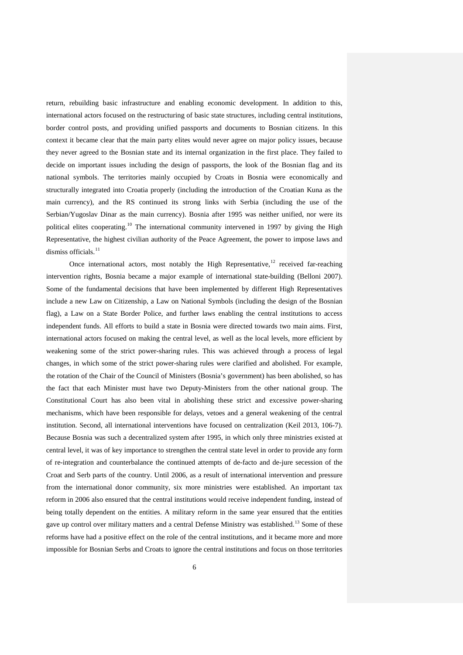return, rebuilding basic infrastructure and enabling economic development. In addition to this, international actors focused on the restructuring of basic state structures, including central institutions, border control posts, and providing unified passports and documents to Bosnian citizens. In this context it became clear that the main party elites would never agree on major policy issues, because they never agreed to the Bosnian state and its internal organization in the first place. They failed to decide on important issues including the design of passports, the look of the Bosnian flag and its national symbols. The territories mainly occupied by Croats in Bosnia were economically and structurally integrated into Croatia properly (including the introduction of the Croatian Kuna as the main currency), and the RS continued its strong links with Serbia (including the use of the Serbian/Yugoslav Dinar as the main currency). Bosnia after 1995 was neither unified, nor were its political elites cooperating.<sup>[10](#page-13-9)</sup> The international community intervened in 1997 by giving the High Representative, the highest civilian authority of the Peace Agreement, the power to impose laws and dismiss officials.<sup>[11](#page-13-10)</sup>

Once international actors, most notably the High Representative, $12$  received far-reaching intervention rights, Bosnia became a major example of international state-building (Belloni 2007). Some of the fundamental decisions that have been implemented by different High Representatives include a new Law on Citizenship, a Law on National Symbols (including the design of the Bosnian flag), a Law on a State Border Police, and further laws enabling the central institutions to access independent funds. All efforts to build a state in Bosnia were directed towards two main aims. First, international actors focused on making the central level, as well as the local levels, more efficient by weakening some of the strict power-sharing rules. This was achieved through a process of legal changes, in which some of the strict power-sharing rules were clarified and abolished. For example, the rotation of the Chair of the Council of Ministers (Bosnia's government) has been abolished, so has the fact that each Minister must have two Deputy-Ministers from the other national group. The Constitutional Court has also been vital in abolishing these strict and excessive power-sharing mechanisms, which have been responsible for delays, vetoes and a general weakening of the central institution. Second, all international interventions have focused on centralization (Keil 2013, 106-7). Because Bosnia was such a decentralized system after 1995, in which only three ministries existed at central level, it was of key importance to strengthen the central state level in order to provide any form of re-integration and counterbalance the continued attempts of de-facto and de-jure secession of the Croat and Serb parts of the country. Until 2006, as a result of international intervention and pressure from the international donor community, six more ministries were established. An important tax reform in 2006 also ensured that the central institutions would receive independent funding, instead of being totally dependent on the entities. A military reform in the same year ensured that the entities gave up control over military matters and a central Defense Ministry was established.<sup>[13](#page-13-12)</sup> Some of these reforms have had a positive effect on the role of the central institutions, and it became more and more impossible for Bosnian Serbs and Croats to ignore the central institutions and focus on those territories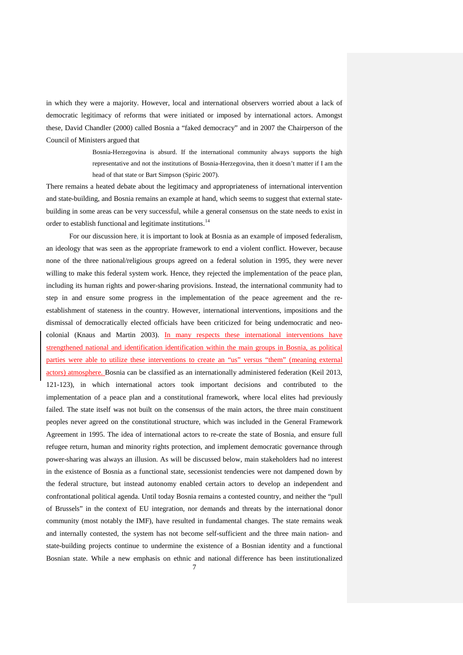in which they were a majority. However, local and international observers worried about a lack of democratic legitimacy of reforms that were initiated or imposed by international actors. Amongst these, David Chandler (2000) called Bosnia a "faked democracy" and in 2007 the Chairperson of the Council of Ministers argued that

> Bosnia-Herzegovina is absurd. If the international community always supports the high representative and not the institutions of Bosnia-Herzegovina, then it doesn't matter if I am the head of that state or Bart Simpson (Spiric 2007).

There remains a heated debate about the legitimacy and appropriateness of international intervention and state-building, and Bosnia remains an example at hand, which seems to suggest that external statebuilding in some areas can be very successful, while a general consensus on the state needs to exist in order to establish functional and legitimate institutions.<sup>[14](#page-13-13)</sup>

For our discussion here, it is important to look at Bosnia as an example of imposed federalism, an ideology that was seen as the appropriate framework to end a violent conflict. However, because none of the three national/religious groups agreed on a federal solution in 1995, they were never willing to make this federal system work. Hence, they rejected the implementation of the peace plan, including its human rights and power-sharing provisions. Instead, the international community had to step in and ensure some progress in the implementation of the peace agreement and the reestablishment of stateness in the country. However, international interventions, impositions and the dismissal of democratically elected officials have been criticized for being undemocratic and neocolonial (Knaus and Martin 2003). In many respects these international interventions have strengthened national and identification identification within the main groups in Bosnia, as political parties were able to utilize these interventions to create an "us" versus "them" (meaning external actors) atmosphere. Bosnia can be classified as an internationally administered federation (Keil 2013, 121-123), in which international actors took important decisions and contributed to the implementation of a peace plan and a constitutional framework, where local elites had previously failed. The state itself was not built on the consensus of the main actors, the three main constituent peoples never agreed on the constitutional structure, which was included in the General Framework Agreement in 1995. The idea of international actors to re-create the state of Bosnia, and ensure full refugee return, human and minority rights protection, and implement democratic governance through power-sharing was always an illusion. As will be discussed below, main stakeholders had no interest in the existence of Bosnia as a functional state, secessionist tendencies were not dampened down by the federal structure, but instead autonomy enabled certain actors to develop an independent and confrontational political agenda. Until today Bosnia remains a contested country, and neither the "pull of Brussels" in the context of EU integration, nor demands and threats by the international donor community (most notably the IMF), have resulted in fundamental changes. The state remains weak and internally contested, the system has not become self-sufficient and the three main nation- and state-building projects continue to undermine the existence of a Bosnian identity and a functional Bosnian state. While a new emphasis on ethnic and national difference has been institutionalized

7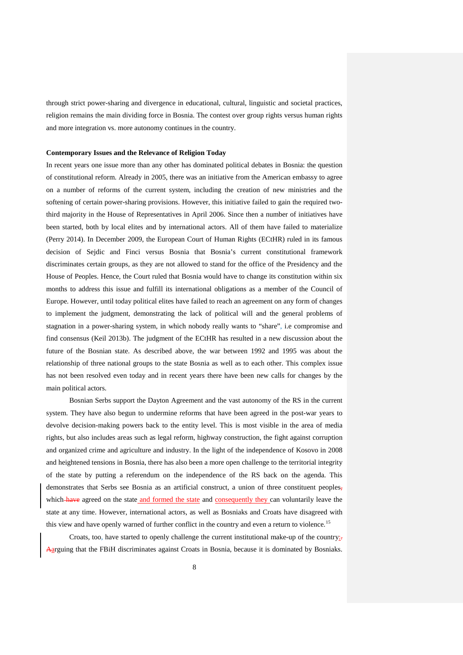through strict power-sharing and divergence in educational, cultural, linguistic and societal practices, religion remains the main dividing force in Bosnia. The contest over group rights versus human rights and more integration vs. more autonomy continues in the country.

#### **Contemporary Issues and the Relevance of Religion Today**

In recent years one issue more than any other has dominated political debates in Bosnia: the question of constitutional reform. Already in 2005, there was an initiative from the American embassy to agree on a number of reforms of the current system, including the creation of new ministries and the softening of certain power-sharing provisions. However, this initiative failed to gain the required twothird majority in the House of Representatives in April 2006. Since then a number of initiatives have been started, both by local elites and by international actors. All of them have failed to materialize (Perry 2014). In December 2009, the European Court of Human Rights (ECtHR) ruled in its famous decision of Sejdic and Finci versus Bosnia that Bosnia's current constitutional framework discriminates certain groups, as they are not allowed to stand for the office of the Presidency and the House of Peoples. Hence, the Court ruled that Bosnia would have to change its constitution within six months to address this issue and fulfill its international obligations as a member of the Council of Europe. However, until today political elites have failed to reach an agreement on any form of changes to implement the judgment, demonstrating the lack of political will and the general problems of stagnation in a power-sharing system, in which nobody really wants to "share", i.e compromise and find consensus (Keil 2013b). The judgment of the ECtHR has resulted in a new discussion about the future of the Bosnian state. As described above, the war between 1992 and 1995 was about the relationship of three national groups to the state Bosnia as well as to each other. This complex issue has not been resolved even today and in recent years there have been new calls for changes by the main political actors.

Bosnian Serbs support the Dayton Agreement and the vast autonomy of the RS in the current system. They have also begun to undermine reforms that have been agreed in the post-war years to devolve decision-making powers back to the entity level. This is most visible in the area of media rights, but also includes areas such as legal reform, highway construction, the fight against corruption and organized crime and agriculture and industry. In the light of the independence of Kosovo in 2008 and heightened tensions in Bosnia, there has also been a more open challenge to the territorial integrity of the state by putting a referendum on the independence of the RS back on the agenda. This demonstrates that Serbs see Bosnia as an artificial construct, a union of three constituent peoples, which have agreed on the state and formed the state and consequently they can voluntarily leave the state at any time. However, international actors, as well as Bosniaks and Croats have disagreed with this view and have openly warned of further conflict in the country and even a return to violence.<sup>[15](#page-13-14)</sup>

Croats, too, have started to openly challenge the current institutional make-up of the country: Aarguing that the FBiH discriminates against Croats in Bosnia, because it is dominated by Bosniaks.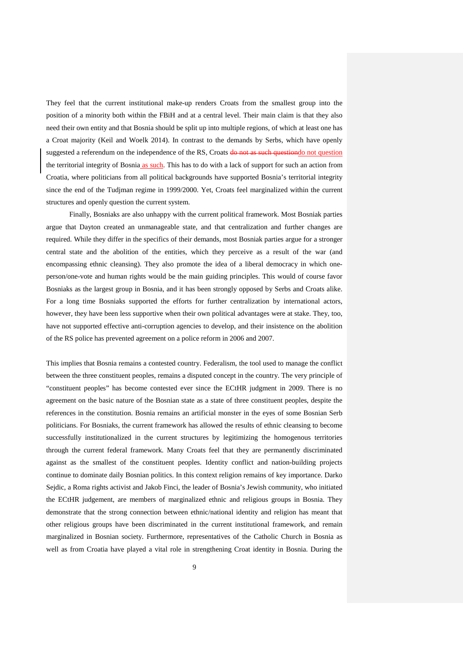They feel that the current institutional make-up renders Croats from the smallest group into the position of a minority both within the FBiH and at a central level. Their main claim is that they also need their own entity and that Bosnia should be split up into multiple regions, of which at least one has a Croat majority (Keil and Woelk 2014). In contrast to the demands by Serbs, which have openly suggested a referendum on the independence of the RS, Croats do not as such questiondo not question the territorial integrity of Bosnia as such. This has to do with a lack of support for such an action from Croatia, where politicians from all political backgrounds have supported Bosnia's territorial integrity since the end of the Tudjman regime in 1999/2000. Yet, Croats feel marginalized within the current structures and openly question the current system.

Finally, Bosniaks are also unhappy with the current political framework. Most Bosniak parties argue that Dayton created an unmanageable state, and that centralization and further changes are required. While they differ in the specifics of their demands, most Bosniak parties argue for a stronger central state and the abolition of the entities, which they perceive as a result of the war (and encompassing ethnic cleansing). They also promote the idea of a liberal democracy in which oneperson/one-vote and human rights would be the main guiding principles. This would of course favor Bosniaks as the largest group in Bosnia, and it has been strongly opposed by Serbs and Croats alike. For a long time Bosniaks supported the efforts for further centralization by international actors, however, they have been less supportive when their own political advantages were at stake. They, too, have not supported effective anti-corruption agencies to develop, and their insistence on the abolition of the RS police has prevented agreement on a police reform in 2006 and 2007.

This implies that Bosnia remains a contested country. Federalism, the tool used to manage the conflict between the three constituent peoples, remains a disputed concept in the country. The very principle of "constituent peoples" has become contested ever since the ECtHR judgment in 2009. There is no agreement on the basic nature of the Bosnian state as a state of three constituent peoples, despite the references in the constitution. Bosnia remains an artificial monster in the eyes of some Bosnian Serb politicians. For Bosniaks, the current framework has allowed the results of ethnic cleansing to become successfully institutionalized in the current structures by legitimizing the homogenous territories through the current federal framework. Many Croats feel that they are permanently discriminated against as the smallest of the constituent peoples. Identity conflict and nation-building projects continue to dominate daily Bosnian politics. In this context religion remains of key importance. Darko Sejdic, a Roma rights activist and Jakob Finci, the leader of Bosnia's Jewish community, who initiated the ECtHR judgement, are members of marginalized ethnic and religious groups in Bosnia. They demonstrate that the strong connection between ethnic/national identity and religion has meant that other religious groups have been discriminated in the current institutional framework, and remain marginalized in Bosnian society. Furthermore, representatives of the Catholic Church in Bosnia as well as from Croatia have played a vital role in strengthening Croat identity in Bosnia. During the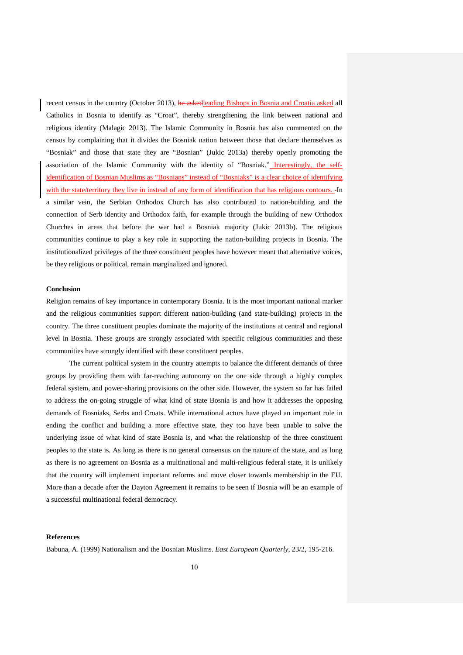recent census in the country (October 2013), he askedleading Bishops in Bosnia and Croatia asked all Catholics in Bosnia to identify as "Croat", thereby strengthening the link between national and religious identity (Malagic 2013). The Islamic Community in Bosnia has also commented on the census by complaining that it divides the Bosniak nation between those that declare themselves as "Bosniak" and those that state they are "Bosnian" (Jukic 2013a) thereby openly promoting the association of the Islamic Community with the identity of "Bosniak." Interestingly, the selfidentification of Bosnian Muslims as "Bosnians" instead of "Bosniaks" is a clear choice of identifying with the state/territory they live in instead of any form of identification that has religious contours. In a similar vein, the Serbian Orthodox Church has also contributed to nation-building and the connection of Serb identity and Orthodox faith, for example through the building of new Orthodox Churches in areas that before the war had a Bosniak majority (Jukic 2013b). The religious communities continue to play a key role in supporting the nation-building projects in Bosnia. The institutionalized privileges of the three constituent peoples have however meant that alternative voices, be they religious or political, remain marginalized and ignored.

# **Conclusion**

Religion remains of key importance in contemporary Bosnia. It is the most important national marker and the religious communities support different nation-building (and state-building) projects in the country. The three constituent peoples dominate the majority of the institutions at central and regional level in Bosnia. These groups are strongly associated with specific religious communities and these communities have strongly identified with these constituent peoples.

The current political system in the country attempts to balance the different demands of three groups by providing them with far-reaching autonomy on the one side through a highly complex federal system, and power-sharing provisions on the other side. However, the system so far has failed to address the on-going struggle of what kind of state Bosnia is and how it addresses the opposing demands of Bosniaks, Serbs and Croats. While international actors have played an important role in ending the conflict and building a more effective state, they too have been unable to solve the underlying issue of what kind of state Bosnia is, and what the relationship of the three constituent peoples to the state is. As long as there is no general consensus on the nature of the state, and as long as there is no agreement on Bosnia as a multinational and multi-religious federal state, it is unlikely that the country will implement important reforms and move closer towards membership in the EU. More than a decade after the Dayton Agreement it remains to be seen if Bosnia will be an example of a successful multinational federal democracy.

#### **References**

Babuna, A. (1999) Nationalism and the Bosnian Muslims. *East European Quarterly*, 23/2, 195-216.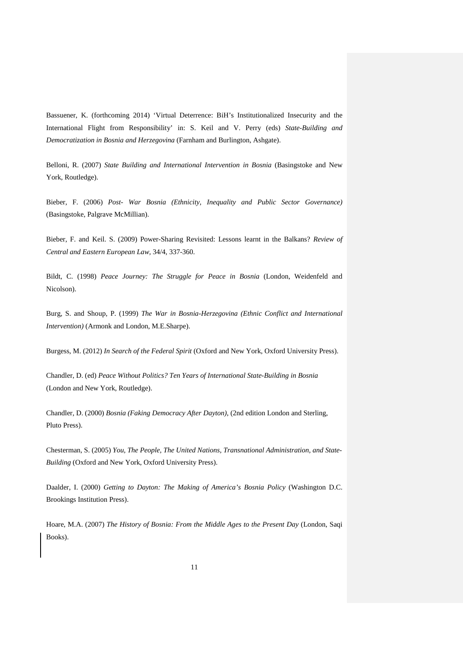Bassuener, K. (forthcoming 2014) 'Virtual Deterrence: BiH's Institutionalized Insecurity and the International Flight from Responsibility' in: S. Keil and V. Perry (eds) *State-Building and Democratization in Bosnia and Herzegovina* (Farnham and Burlington, Ashgate).

Belloni, R. (2007) *State Building and International Intervention in Bosnia* (Basingstoke and New York, Routledge).

Bieber, F. (2006) *Post- War Bosnia (Ethnicity, Inequality and Public Sector Governance)* (Basingstoke, Palgrave McMillian).

Bieber, F. and Keil. S. (2009) Power-Sharing Revisited: Lessons learnt in the Balkans? *Review of Central and Eastern European Law,* 34/4, 337-360.

Bildt, C. (1998) *Peace Journey: The Struggle for Peace in Bosnia* (London, Weidenfeld and Nicolson).

Burg, S. and Shoup, P. (1999) *The War in Bosnia-Herzegovina (Ethnic Conflict and International Intervention)* (Armonk and London, M.E.Sharpe).

Burgess, M. (2012) *In Search of the Federal Spirit* (Oxford and New York, Oxford University Press).

Chandler, D. (ed) *Peace Without Politics? Ten Years of International State-Building in Bosnia* (London and New York, Routledge).

Chandler, D. (2000) *Bosnia (Faking Democracy After Dayton)*, (2nd edition London and Sterling, Pluto Press).

Chesterman, S. (2005) *You, The People, The United Nations, Transnational Administration, and State-Building* (Oxford and New York, Oxford University Press).

Daalder, I. (2000) *Getting to Dayton: The Making of America's Bosnia Policy* (Washington D.C. Brookings Institution Press).

Hoare, M.A. (2007) *The History of Bosnia: From the Middle Ages to the Present Day* (London, Saqi Books).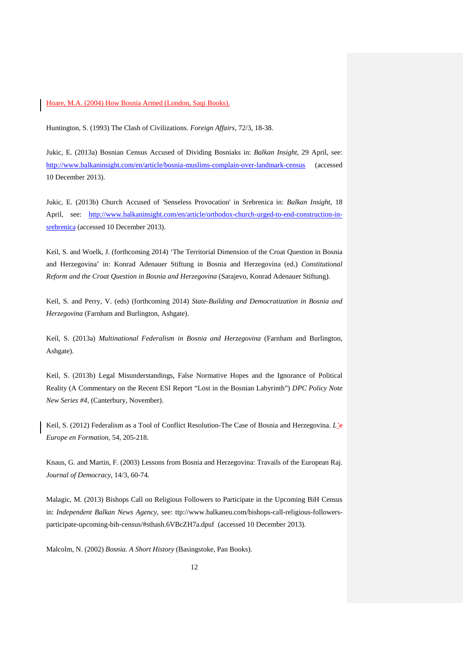Hoare, M.A. (2004) How Bosnia Armed (London, Saqi Books).

Huntington, S. (1993) The Clash of Civilizations. *Foreign Affairs*, 72/3, 18-38.

Jukic, E. (2013a) Bosnian Census Accused of Dividing Bosniaks in: *Balkan Insight*, 29 April, see: <http://www.balkaninsight.com/en/article/bosnia-muslims-complain-over-landmark-census> (accessed 10 December 2013).

Jukic, E. (2013b) Church Accused of 'Senseless Provocation' in Srebrenica in: *Balkan Insight*, 18 April, see: [http://www.balkaninsight.com/en/article/orthodox-church-urged-to-end-construction-in](http://www.balkaninsight.com/en/article/orthodox-church-urged-to-end-construction-in-srebrenica)[srebrenica](http://www.balkaninsight.com/en/article/orthodox-church-urged-to-end-construction-in-srebrenica) (accessed 10 December 2013).

Keil, S. and Woelk, J. (forthcoming 2014) 'The Territorial Dimension of the Croat Question in Bosnia and Herzegovina' in: Konrad Adenauer Stiftung in Bosnia and Herzegovina (ed.) *Constitutional Reform and the Croat Question in Bosnia and Herzegovina* (Sarajevo, Konrad Adenauer Stiftung).

Keil, S. and Perry, V. (eds) (forthcoming 2014) *State-Building and Democratization in Bosnia and Herzegovina* (Farnham and Burlington, Ashgate).

Keil, S. (2013a) *Multinational Federalism in Bosnia and Herzegovina* (Farnham and Burlington, Ashgate).

Keil, S. (2013b) Legal Misunderstandings, False Normative Hopes and the Ignorance of Political Reality (A Commentary on the Recent ESI Report "Lost in the Bosnian Labyrinth") *DPC Policy Note New Series #4,* (Canterbury, November).

Keil, S. (2012) Federalism as a Tool of Conflict Resolution-The Case of Bosnia and Herzegovina. *L'e Europe en Formation*, 54, 205-218.

Knaus, G. and Martin, F. (2003) Lessons from Bosnia and Herzegovina: Travails of the European Raj. *Journal of Democracy*, 14/3, 60-74.

Malagic, M. (2013) Bishops Call on Religious Followers to Participate in the Upcoming BiH Census in: *Independent Balkan News Agency*, see: ttp://www.balkaneu.com/bishops-call-religious-followersparticipate-upcoming-bih-census/#sthash.6VBcZH7a.dpuf (accessed 10 December 2013).

Malcolm, N. (2002) *Bosnia. A Short History* (Basingstoke, Pan Books).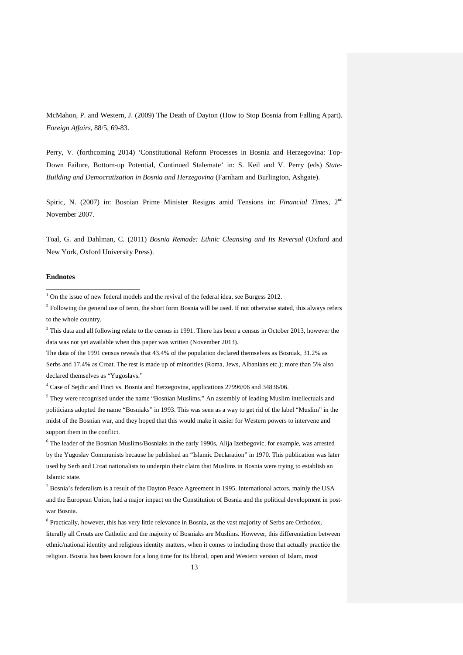McMahon, P. and Western, J. (2009) The Death of Dayton (How to Stop Bosnia from Falling Apart). *Foreign Affairs*, 88/5, 69-83.

Perry, V. (forthcoming 2014) 'Constitutional Reform Processes in Bosnia and Herzegovina: Top-Down Failure, Bottom-up Potential, Continued Stalemate' in: S. Keil and V. Perry (eds) *State-Building and Democratization in Bosnia and Herzegovina* (Farnham and Burlington, Ashgate).

Spiric, N. (2007) in: Bosnian Prime Minister Resigns amid Tensions in: *Financial Times,* 2nd November 2007.

Toal, G. and Dahlman, C. (2011) *Bosnia Remade: Ethnic Cleansing and Its Reversal* (Oxford and New York, Oxford University Press).

## **Endnotes**

j

<sup>4</sup> Case of Sejdic and Finci vs. Bosnia and Herzegovina, applications 27996/06 and 34836/06.

<sup>5</sup> They were recognised under the name "Bosnian Muslims." An assembly of leading Muslim intellectuals and politicians adopted the name "Bosniaks" in 1993. This was seen as a way to get rid of the label "Muslim" in the midst of the Bosnian war, and they hoped that this would make it easier for Western powers to intervene and support them in the conflict.

 $1$  On the issue of new federal models and the revival of the federal idea, see Burgess 2012.

 $2$  Following the general use of term, the short form Bosnia will be used. If not otherwise stated, this always refers to the whole country.

<sup>&</sup>lt;sup>3</sup> This data and all following relate to the census in 1991. There has been a census in October 2013, however the data was not yet available when this paper was written (November 2013).

The data of the 1991 census reveals that 43.4% of the population declared themselves as Bosniak, 31.2% as Serbs and 17.4% as Croat. The rest is made up of minorities (Roma, Jews, Albanians etc.); more than 5% also declared themselves as "Yugoslavs."

<sup>6</sup> The leader of the Bosnian Muslims/Bosniaks in the early 1990s, Alija Izetbegovic, for example, was arrested by the Yugoslav Communists because he published an "Islamic Declaration" in 1970. This publication was later used by Serb and Croat nationalists to underpin their claim that Muslims in Bosnia were trying to establish an Islamic state.

 $<sup>7</sup>$  Bosnia's federalism is a result of the Dayton Peace Agreement in 1995. International actors, mainly the USA</sup> and the European Union, had a major impact on the Constitution of Bosnia and the political development in postwar Bosnia.

<sup>&</sup>lt;sup>8</sup> Practically, however, this has very little relevance in Bosnia, as the vast majority of Serbs are Orthodox, literally all Croats are Catholic and the majority of Bosniaks are Muslims. However, this differentiation between ethnic/national identity and religious identity matters, when it comes to including those that actually practice the religion. Bosnia has been known for a long time for its liberal, open and Western version of Islam, most